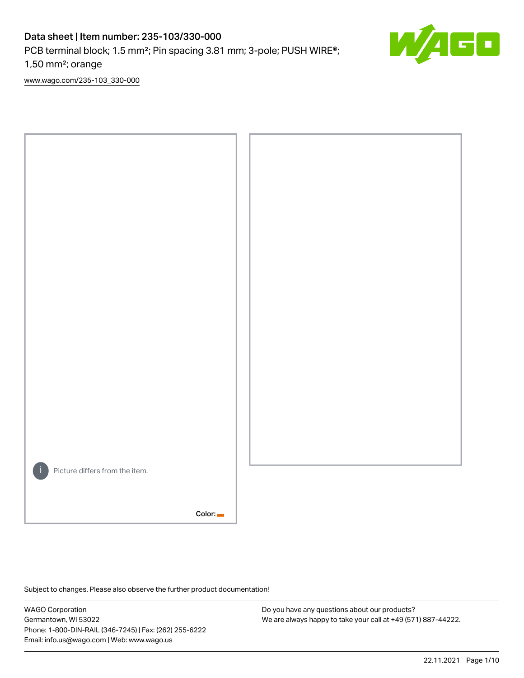# Data sheet | Item number: 235-103/330-000

PCB terminal block; 1.5 mm<sup>2</sup>; Pin spacing 3.81 mm; 3-pole; PUSH WIRE<sup>®</sup>;

1,50 mm²; orange

[www.wago.com/235-103\\_330-000](http://www.wago.com/235-103_330-000)



Subject to changes. Please also observe the further product documentation!

WAGO Corporation Germantown, WI 53022 Phone: 1-800-DIN-RAIL (346-7245) | Fax: (262) 255-6222 Email: info.us@wago.com | Web: www.wago.us

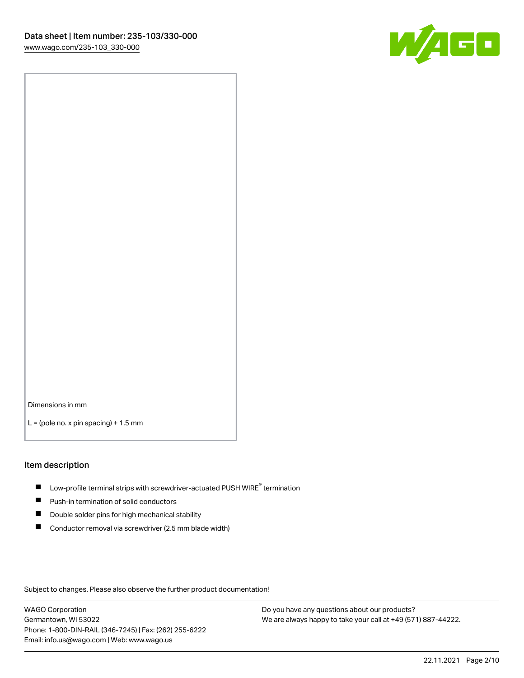

Dimensions in mm

 $L =$  (pole no. x pin spacing) + 1.5 mm

#### Item description

- $\blacksquare$  Low-profile terminal strips with screwdriver-actuated PUSH WIRE<sup>®</sup> termination
- **Push-in termination of solid conductors**
- $\blacksquare$ Double solder pins for high mechanical stability
- П Conductor removal via screwdriver (2.5 mm blade width)

Subject to changes. Please also observe the further product documentation!

WAGO Corporation Germantown, WI 53022 Phone: 1-800-DIN-RAIL (346-7245) | Fax: (262) 255-6222 Email: info.us@wago.com | Web: www.wago.us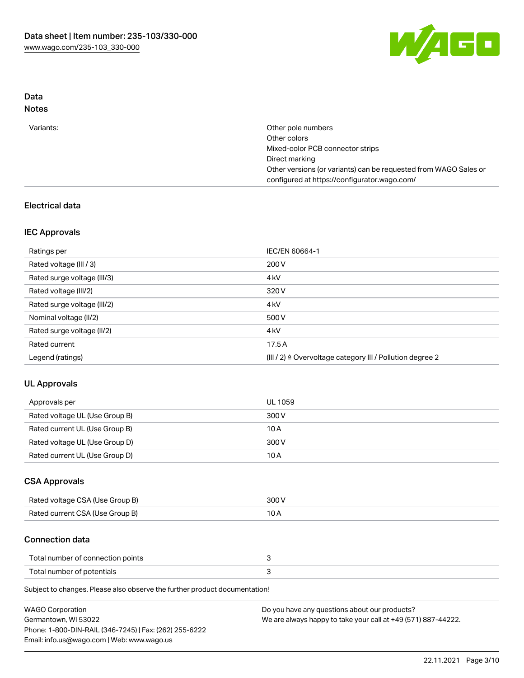

## Data Notes

| Other pole numbers                                               |
|------------------------------------------------------------------|
| Other colors                                                     |
| Mixed-color PCB connector strips                                 |
| Direct marking                                                   |
| Other versions (or variants) can be requested from WAGO Sales or |
| configured at https://configurator.wago.com/                     |
|                                                                  |

## Electrical data

## IEC Approvals

| Ratings per                 | IEC/EN 60664-1                                                        |
|-----------------------------|-----------------------------------------------------------------------|
| Rated voltage (III / 3)     | 200 V                                                                 |
| Rated surge voltage (III/3) | 4 <sub>k</sub> V                                                      |
| Rated voltage (III/2)       | 320 V                                                                 |
| Rated surge voltage (III/2) | 4 <sub>k</sub> V                                                      |
| Nominal voltage (II/2)      | 500 V                                                                 |
| Rated surge voltage (II/2)  | 4 <sub>k</sub> V                                                      |
| Rated current               | 17.5A                                                                 |
| Legend (ratings)            | $(III / 2)$ $\triangle$ Overvoltage category III / Pollution degree 2 |

## UL Approvals

| Approvals per                  | UL 1059 |
|--------------------------------|---------|
| Rated voltage UL (Use Group B) | 300 V   |
| Rated current UL (Use Group B) | 10 A    |
| Rated voltage UL (Use Group D) | 300 V   |
| Rated current UL (Use Group D) | 10 A    |

## CSA Approvals

| Rated voltage CSA (Use Group B) | 300 V |
|---------------------------------|-------|
| Rated current CSA (Use Group B) | 10 A  |

## Connection data

| Total number of connection points |  |
|-----------------------------------|--|
| Total number of potentials        |  |

Subject to changes. Please also observe the further product documentation!

| <b>WAGO Corporation</b>                                | Do you have any questions about our products?                 |
|--------------------------------------------------------|---------------------------------------------------------------|
| Germantown, WI 53022                                   | We are always happy to take your call at +49 (571) 887-44222. |
| Phone: 1-800-DIN-RAIL (346-7245)   Fax: (262) 255-6222 |                                                               |
| Email: info.us@wago.com   Web: www.wago.us             |                                                               |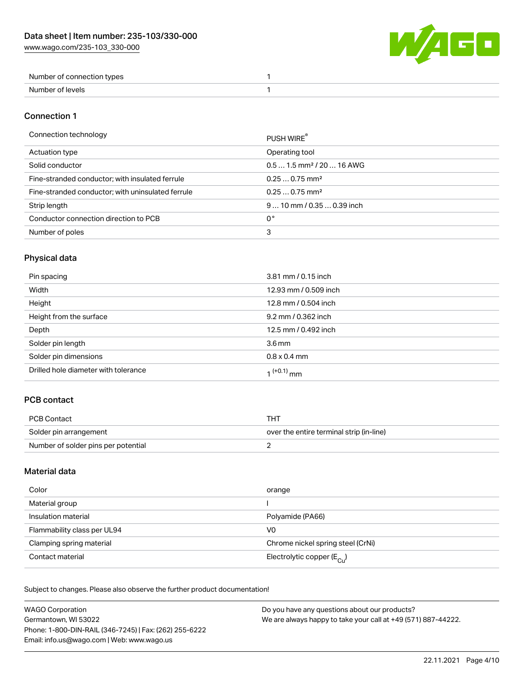

| Number of connection types |  |
|----------------------------|--|
| Number of levels           |  |

## Connection 1

#### Connection technology PUSH WIRE®

| ັ                                                 | <b>PUSH WIRE</b>                      |
|---------------------------------------------------|---------------------------------------|
| Actuation type                                    | Operating tool                        |
| Solid conductor                                   | $0.51.5$ mm <sup>2</sup> / 20  16 AWG |
| Fine-stranded conductor; with insulated ferrule   | $0.250.75$ mm <sup>2</sup>            |
| Fine-stranded conductor; with uninsulated ferrule | $0.250.75$ mm <sup>2</sup>            |
| Strip length                                      | $910$ mm $/0.350.39$ inch             |
| Conductor connection direction to PCB             | 0°                                    |
| Number of poles                                   | 3                                     |
|                                                   |                                       |

## Physical data

| Pin spacing                          | 3.81 mm / 0.15 inch   |
|--------------------------------------|-----------------------|
| Width                                | 12.93 mm / 0.509 inch |
| Height                               | 12.8 mm / 0.504 inch  |
| Height from the surface              | 9.2 mm / 0.362 inch   |
| Depth                                | 12.5 mm / 0.492 inch  |
| Solder pin length                    | 3.6 <sub>mm</sub>     |
| Solder pin dimensions                | $0.8 \times 0.4$ mm   |
| Drilled hole diameter with tolerance | $1^{(+0.1)}$ mm       |

## PCB contact

| PCB Contact                         | THT                                      |
|-------------------------------------|------------------------------------------|
| Solder pin arrangement              | over the entire terminal strip (in-line) |
| Number of solder pins per potential |                                          |

## Material data

| Color                       | orange                                |
|-----------------------------|---------------------------------------|
| Material group              |                                       |
| Insulation material         | Polyamide (PA66)                      |
| Flammability class per UL94 | V0                                    |
| Clamping spring material    | Chrome nickel spring steel (CrNi)     |
| Contact material            | Electrolytic copper $(E_{\text{Cl}})$ |

Subject to changes. Please also observe the further product documentation!

| <b>WAGO Corporation</b>                                | Do you have any questions about our products?                 |
|--------------------------------------------------------|---------------------------------------------------------------|
| Germantown, WI 53022                                   | We are always happy to take your call at +49 (571) 887-44222. |
| Phone: 1-800-DIN-RAIL (346-7245)   Fax: (262) 255-6222 |                                                               |
| Email: info.us@wago.com   Web: www.wago.us             |                                                               |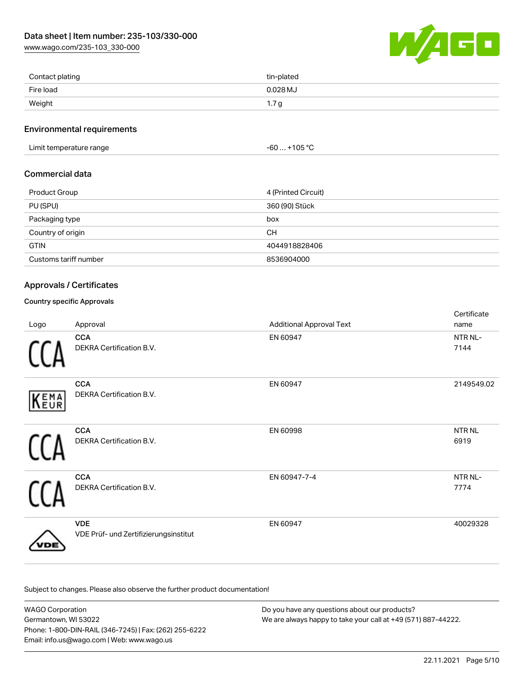[www.wago.com/235-103\\_330-000](http://www.wago.com/235-103_330-000)



| Contact plating | tin-plated |
|-----------------|------------|
| Fire load       | $0.028$ MJ |
| Weight          | 1.7 g      |

## Environmental requirements

Limit temperature range  $-60... +105$  °C

## Commercial data

| Product Group         | 4 (Printed Circuit) |
|-----------------------|---------------------|
| PU (SPU)              | 360 (90) Stück      |
| Packaging type        | box                 |
| Country of origin     | <b>CH</b>           |
| <b>GTIN</b>           | 4044918828406       |
| Customs tariff number | 8536904000          |

## Approvals / Certificates

## Country specific Approvals

| Logo | Approval                                            | <b>Additional Approval Text</b> | Certificate<br>name  |
|------|-----------------------------------------------------|---------------------------------|----------------------|
|      | <b>CCA</b><br>DEKRA Certification B.V.              | EN 60947                        | NTR NL-<br>7144      |
| KEMA | <b>CCA</b><br>DEKRA Certification B.V.              | EN 60947                        | 2149549.02           |
|      | <b>CCA</b><br>DEKRA Certification B.V.              | EN 60998                        | <b>NTRNL</b><br>6919 |
|      | <b>CCA</b><br>DEKRA Certification B.V.              | EN 60947-7-4                    | NTR NL-<br>7774      |
|      | <b>VDE</b><br>VDE Prüf- und Zertifizierungsinstitut | EN 60947                        | 40029328             |

Subject to changes. Please also observe the further product documentation!

| <b>WAGO Corporation</b>                                | Do you have any questions about our products?                 |
|--------------------------------------------------------|---------------------------------------------------------------|
| Germantown. WI 53022                                   | We are always happy to take your call at +49 (571) 887-44222. |
| Phone: 1-800-DIN-RAIL (346-7245)   Fax: (262) 255-6222 |                                                               |
| Email: info.us@wago.com   Web: www.wago.us             |                                                               |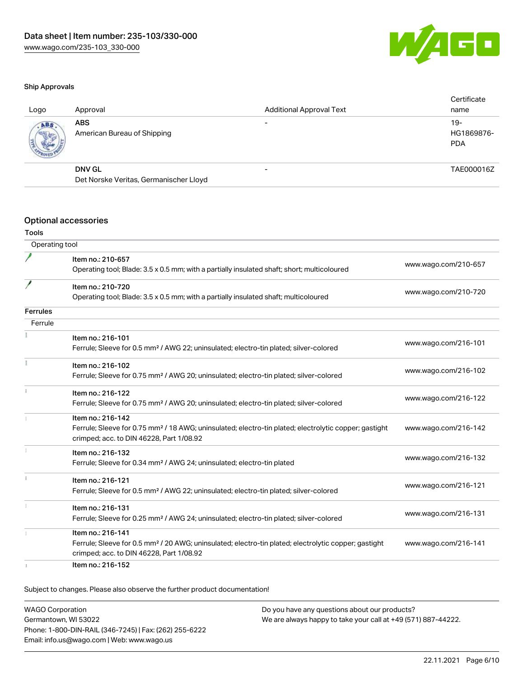

#### Ship Approvals

| Logo | Approval                                  | <b>Additional Approval Text</b> | Certificate<br>name               |
|------|-------------------------------------------|---------------------------------|-----------------------------------|
| ABS  | <b>ABS</b><br>American Bureau of Shipping |                                 | $19-$<br>HG1869876-<br><b>PDA</b> |
|      | <b>DNV GL</b>                             | $\overline{\phantom{0}}$        | TAE000016Z                        |
|      | Det Norske Veritas, Germanischer Lloyd    |                                 |                                   |
|      |                                           |                                 |                                   |

#### Optional accessories

Tools

| Operating tool  |                                                                                                                   |                      |
|-----------------|-------------------------------------------------------------------------------------------------------------------|----------------------|
|                 | Item no.: 210-657                                                                                                 |                      |
|                 | Operating tool; Blade: 3.5 x 0.5 mm; with a partially insulated shaft; short; multicoloured                       | www.wago.com/210-657 |
|                 | Item no.: 210-720                                                                                                 |                      |
|                 | Operating tool; Blade: 3.5 x 0.5 mm; with a partially insulated shaft; multicoloured                              | www.wago.com/210-720 |
| <b>Ferrules</b> |                                                                                                                   |                      |
| Ferrule         |                                                                                                                   |                      |
|                 | Item no.: 216-101                                                                                                 |                      |
|                 | Ferrule; Sleeve for 0.5 mm <sup>2</sup> / AWG 22; uninsulated; electro-tin plated; silver-colored                 | www.wago.com/216-101 |
|                 | Item no.: 216-102                                                                                                 |                      |
|                 | Ferrule; Sleeve for 0.75 mm <sup>2</sup> / AWG 20; uninsulated; electro-tin plated; silver-colored                | www.wago.com/216-102 |
|                 | Item no.: 216-122                                                                                                 |                      |
|                 | Ferrule; Sleeve for 0.75 mm <sup>2</sup> / AWG 20; uninsulated; electro-tin plated; silver-colored                | www.wago.com/216-122 |
|                 | Item no.: 216-142                                                                                                 |                      |
|                 | Ferrule; Sleeve for 0.75 mm <sup>2</sup> / 18 AWG; uninsulated; electro-tin plated; electrolytic copper; gastight | www.wago.com/216-142 |
|                 | crimped; acc. to DIN 46228, Part 1/08.92                                                                          |                      |
|                 | Item no.: 216-132                                                                                                 | www.wago.com/216-132 |
|                 | Ferrule; Sleeve for 0.34 mm <sup>2</sup> / AWG 24; uninsulated; electro-tin plated                                |                      |
| i.              | Item no.: 216-121                                                                                                 |                      |
|                 | Ferrule; Sleeve for 0.5 mm <sup>2</sup> / AWG 22; uninsulated; electro-tin plated; silver-colored                 | www.wago.com/216-121 |
|                 | Item no.: 216-131                                                                                                 |                      |
|                 | Ferrule; Sleeve for 0.25 mm <sup>2</sup> / AWG 24; uninsulated; electro-tin plated; silver-colored                | www.wago.com/216-131 |
|                 | Item no.: 216-141                                                                                                 |                      |
|                 | Ferrule; Sleeve for 0.5 mm <sup>2</sup> / 20 AWG; uninsulated; electro-tin plated; electrolytic copper; gastight  | www.wago.com/216-141 |
|                 | crimped; acc. to DIN 46228, Part 1/08.92                                                                          |                      |
|                 | Item no.: 216-152                                                                                                 |                      |

Subject to changes. Please also observe the further product documentation!

WAGO Corporation Germantown, WI 53022 Phone: 1-800-DIN-RAIL (346-7245) | Fax: (262) 255-6222 Email: info.us@wago.com | Web: www.wago.us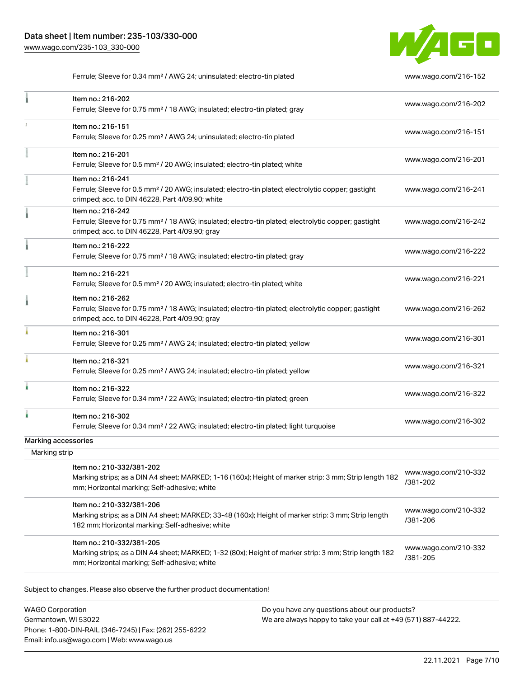

Ferrule; Sleeve for 0.34 mm² / AWG 24; uninsulated; electro-tin plated [www.wago.com/216-152](http://www.wago.com/216-152)

|                     | Item no.: 216-202<br>Ferrule; Sleeve for 0.75 mm <sup>2</sup> / 18 AWG; insulated; electro-tin plated; gray                                                                            | www.wago.com/216-202             |
|---------------------|----------------------------------------------------------------------------------------------------------------------------------------------------------------------------------------|----------------------------------|
| ı                   | Item no.: 216-151<br>Ferrule; Sleeve for 0.25 mm <sup>2</sup> / AWG 24; uninsulated; electro-tin plated                                                                                | www.wago.com/216-151             |
|                     | Item no.: 216-201<br>Ferrule; Sleeve for 0.5 mm <sup>2</sup> / 20 AWG; insulated; electro-tin plated; white                                                                            | www.wago.com/216-201             |
|                     | Item no.: 216-241<br>Ferrule; Sleeve for 0.5 mm <sup>2</sup> / 20 AWG; insulated; electro-tin plated; electrolytic copper; gastight<br>crimped; acc. to DIN 46228, Part 4/09.90; white | www.wago.com/216-241             |
|                     | Item no.: 216-242<br>Ferrule; Sleeve for 0.75 mm <sup>2</sup> / 18 AWG; insulated; electro-tin plated; electrolytic copper; gastight<br>crimped; acc. to DIN 46228, Part 4/09.90; gray | www.wago.com/216-242             |
|                     | Item no.: 216-222<br>Ferrule; Sleeve for 0.75 mm <sup>2</sup> / 18 AWG; insulated; electro-tin plated; gray                                                                            | www.wago.com/216-222             |
|                     | Item no.: 216-221<br>Ferrule; Sleeve for 0.5 mm <sup>2</sup> / 20 AWG; insulated; electro-tin plated; white                                                                            | www.wago.com/216-221             |
|                     | Item no.: 216-262<br>Ferrule; Sleeve for 0.75 mm <sup>2</sup> / 18 AWG; insulated; electro-tin plated; electrolytic copper; gastight<br>crimped; acc. to DIN 46228, Part 4/09.90; gray | www.wago.com/216-262             |
|                     | Item no.: 216-301<br>Ferrule; Sleeve for 0.25 mm <sup>2</sup> / AWG 24; insulated; electro-tin plated; yellow                                                                          | www.wago.com/216-301             |
|                     | Item no.: 216-321<br>Ferrule; Sleeve for 0.25 mm <sup>2</sup> / AWG 24; insulated; electro-tin plated; yellow                                                                          | www.wago.com/216-321             |
| ł                   | Item no.: 216-322<br>Ferrule; Sleeve for 0.34 mm <sup>2</sup> / 22 AWG; insulated; electro-tin plated; green                                                                           | www.wago.com/216-322             |
|                     | Item no.: 216-302<br>Ferrule; Sleeve for 0.34 mm <sup>2</sup> / 22 AWG; insulated; electro-tin plated; light turquoise                                                                 | www.wago.com/216-302             |
| Marking accessories |                                                                                                                                                                                        |                                  |
| Marking strip       |                                                                                                                                                                                        |                                  |
|                     | Item no.: 210-332/381-202<br>Marking strips; as a DIN A4 sheet; MARKED; 1-16 (160x); Height of marker strip: 3 mm; Strip length 182<br>mm; Horizontal marking; Self-adhesive; white    | www.wago.com/210-332<br>/381-202 |
|                     | Item no.: 210-332/381-206<br>Marking strips; as a DIN A4 sheet; MARKED; 33-48 (160x); Height of marker strip: 3 mm; Strip length<br>182 mm; Horizontal marking; Self-adhesive; white   | www.wago.com/210-332<br>/381-206 |
|                     | Item no.: 210-332/381-205<br>Marking strips; as a DIN A4 sheet; MARKED; 1-32 (80x); Height of marker strip: 3 mm; Strip length 182<br>mm; Horizontal marking; Self-adhesive; white     | www.wago.com/210-332<br>/381-205 |
|                     | Subject to changes. Please also observe the further product documentation!                                                                                                             |                                  |

WAGO Corporation Germantown, WI 53022 Phone: 1-800-DIN-RAIL (346-7245) | Fax: (262) 255-6222 Email: info.us@wago.com | Web: www.wago.us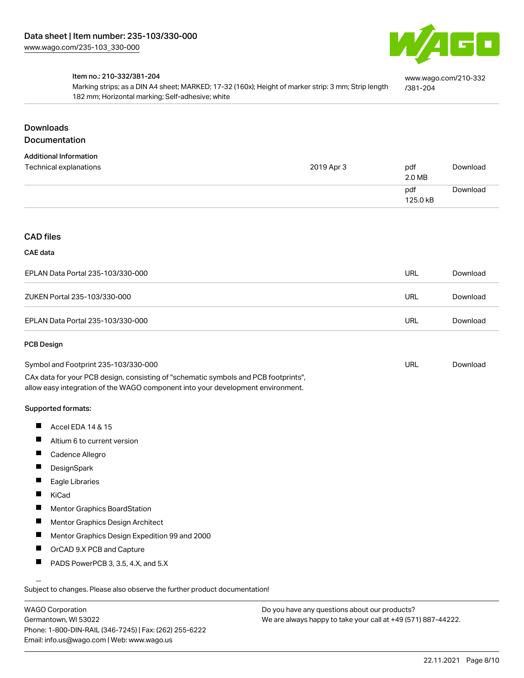

[www.wago.com/210-332](http://www.wago.com/210-332/381-204)

[/381-204](http://www.wago.com/210-332/381-204)

#### Item no.: 210-332/381-204

Marking strips; as a DIN A4 sheet; MARKED; 17-32 (160x); Height of marker strip: 3 mm; Strip length 182 mm; Horizontal marking; Self-adhesive; white

## Downloads Documentation

# Additional Information

| Additional Information<br>Technical explanations | 2019 Apr 3 | pdf<br>2.0 MB   | Download |
|--------------------------------------------------|------------|-----------------|----------|
|                                                  |            | pdf<br>125.0 kB | Download |

#### CAD files

#### CAE data

| EPLAN Data Portal 235-103/330-000 | URL | Download |
|-----------------------------------|-----|----------|
| ZUKEN Portal 235-103/330-000      | URL | Download |
| EPLAN Data Portal 235-103/330-000 | URL | Download |

#### PCB Design

| Symbol and Footprint 235-103/330-000                                                | URL | Download |
|-------------------------------------------------------------------------------------|-----|----------|
| CAx data for your PCB design, consisting of "schematic symbols and PCB footprints", |     |          |
| allow easy integration of the WAGO component into your development environment.     |     |          |

#### Supported formats:

- $\blacksquare$ Accel EDA 14 & 15
- $\blacksquare$ Altium 6 to current version
- П Cadence Allegro
- $\blacksquare$ **DesignSpark**
- Eagle Libraries  $\blacksquare$
- KiCad  $\blacksquare$
- П Mentor Graphics BoardStation
- $\blacksquare$ Mentor Graphics Design Architect
- $\blacksquare$ Mentor Graphics Design Expedition 99 and 2000
- П OrCAD 9.X PCB and Capture
- П PADS PowerPCB 3, 3.5, 4.X, and 5.X

Subject to changes. Please also observe the further product documentation!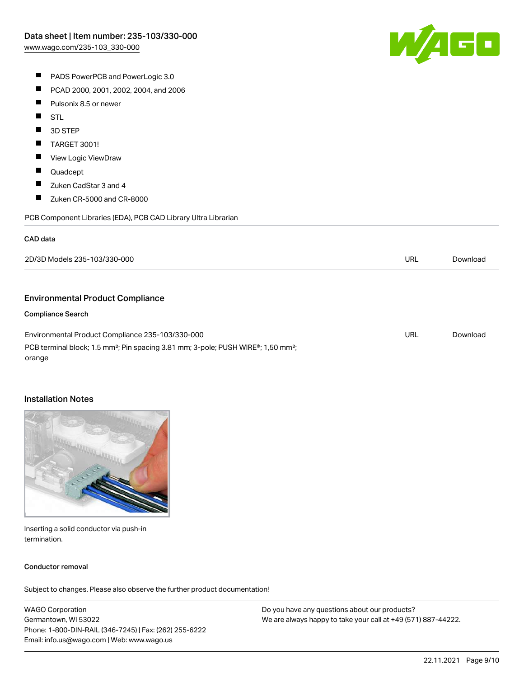

- **PADS PowerPCB and PowerLogic 3.0**
- $\blacksquare$ PCAD 2000, 2001, 2002, 2004, and 2006
- $\blacksquare$ Pulsonix 8.5 or newer
- $\blacksquare$ **STL**
- П 3D STEP
- $\blacksquare$ TARGET 3001!
- $\blacksquare$ View Logic ViewDraw
- $\blacksquare$ Quadcept
- $\blacksquare$ Zuken CadStar 3 and 4
- $\blacksquare$ Zuken CR-5000 and CR-8000

PCB Component Libraries (EDA), PCB CAD Library Ultra Librarian

## CAD data

| 2D/3D Models 235-103/330-000                                                                                           | URL | Download |
|------------------------------------------------------------------------------------------------------------------------|-----|----------|
|                                                                                                                        |     |          |
| <b>Environmental Product Compliance</b>                                                                                |     |          |
| <b>Compliance Search</b>                                                                                               |     |          |
| Environmental Product Compliance 235-103/330-000                                                                       | URL | Download |
| PCB terminal block; 1.5 mm <sup>2</sup> ; Pin spacing 3.81 mm; 3-pole; PUSH WIRE <sup>®</sup> ; 1,50 mm <sup>2</sup> ; |     |          |
| orange                                                                                                                 |     |          |

## Installation Notes



Inserting a solid conductor via push-in termination.

## Conductor removal

Subject to changes. Please also observe the further product documentation!

WAGO Corporation Germantown, WI 53022 Phone: 1-800-DIN-RAIL (346-7245) | Fax: (262) 255-6222 Email: info.us@wago.com | Web: www.wago.us